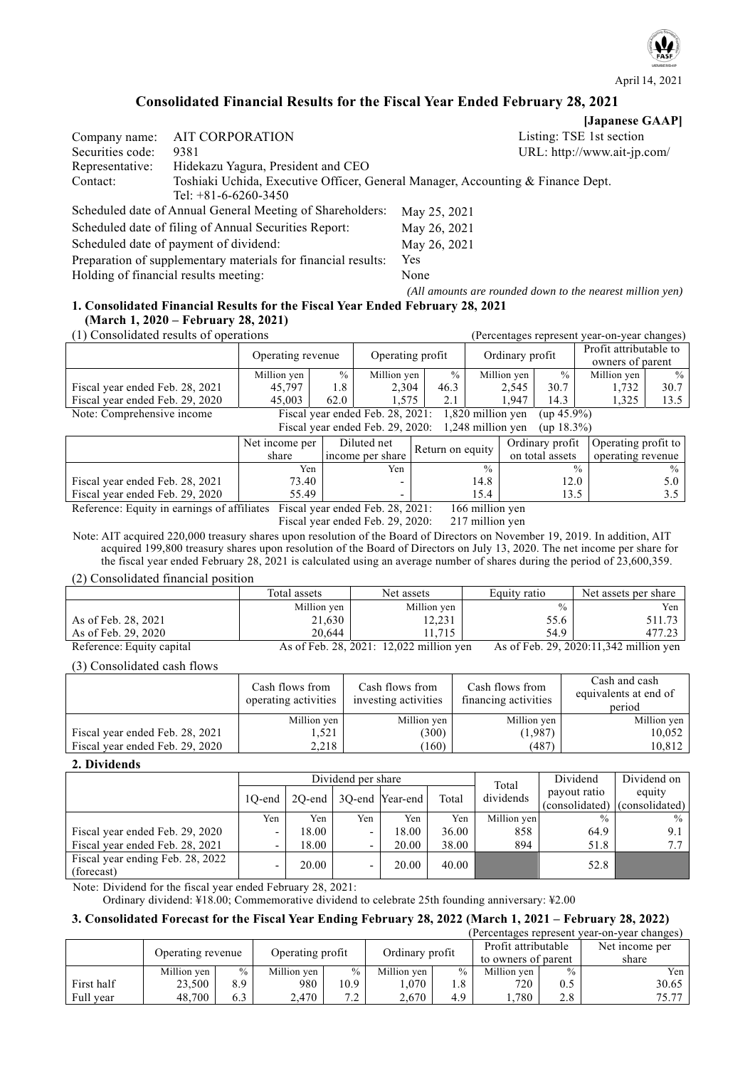

# **Consolidated Financial Results for the Fiscal Year Ended February 28, 2021**

|                  |                                                                                 | [Japanese GAAP]                                           |
|------------------|---------------------------------------------------------------------------------|-----------------------------------------------------------|
| Company name:    | AIT CORPORATION                                                                 | Listing: TSE 1st section                                  |
| Securities code: | 9381                                                                            | URL: http://www.ait-jp.com/                               |
| Representative:  | Hidekazu Yagura, President and CEO                                              |                                                           |
| Contact:         | Toshiaki Uchida, Executive Officer, General Manager, Accounting & Finance Dept. |                                                           |
|                  | Tel: $+81-6-6260-3450$                                                          |                                                           |
|                  | Scheduled date of Annual General Meeting of Shareholders:                       | May 25, 2021                                              |
|                  | Scheduled date of filing of Annual Securities Report:                           | May 26, 2021                                              |
|                  | Scheduled date of payment of dividend:                                          | May 26, 2021                                              |
|                  | Preparation of supplementary materials for financial results:                   | <b>Yes</b>                                                |
|                  | Holding of financial results meeting:                                           | None                                                      |
|                  |                                                                                 | (All amounts are rounded down to the nearest million yen) |

# **1. Consolidated Financial Results for the Fiscal Year Ended February 28, 2021 (March 1, 2020 – February 28, 2021)**

| (1) Consolidated results of operations                                 | (Percentages represent year-on-year changes)                          |      |                  |      |                 |               |                                            |               |
|------------------------------------------------------------------------|-----------------------------------------------------------------------|------|------------------|------|-----------------|---------------|--------------------------------------------|---------------|
|                                                                        | Operating revenue                                                     |      | Operating profit |      | Ordinary profit |               | Profit attributable to<br>owners of parent |               |
|                                                                        | Million yen                                                           | $\%$ | Million yen      | $\%$ | Million yen     | $\frac{0}{0}$ | Million yen                                | $\frac{0}{0}$ |
| Fiscal year ended Feb. 28, 2021                                        | 45.797                                                                | 1.8  | 2.304            | 46.3 | 2,545           | 30.7          | 1,732                                      | 30.7          |
| Fiscal year ended Feb. 29, 2020                                        | 45,003                                                                | 62.0 | 1.575            | 2.1  | 1.947           | 14.3          | 1,325                                      | 13.5          |
| Note: Comprehensive income                                             | Fiscal year ended Feb. $28, 2021: 1,820$ million yen<br>$(up 45.9\%)$ |      |                  |      |                 |               |                                            |               |
| Fiscal year ended Feb. 29, 2020:<br>1,248 million yen<br>$(up 18.3\%)$ |                                                                       |      |                  |      |                 |               |                                            |               |

|                                 | Net income per                       | Diluted net       | Return on equity | Ordinary profit | Operating profit to |  |  |  |  |
|---------------------------------|--------------------------------------|-------------------|------------------|-----------------|---------------------|--|--|--|--|
|                                 | share                                | income per share  |                  | on total assets | operating revenue   |  |  |  |  |
|                                 | Yen                                  | Yen               | $\frac{0}{0}$    | $\frac{0}{0}$   | $\frac{0}{0}$       |  |  |  |  |
| Fiscal year ended Feb. 28, 2021 | 73.40                                |                   | 14.8             | 12.0            |                     |  |  |  |  |
| Fiscal year ended Feb. 29, 2020 | 55.49                                |                   | 15.4             | ن د ل           |                     |  |  |  |  |
| $\mathbf{r}$                    | $\sim$ $\sim$ $\sim$<br>$\mathbf{r}$ | 20.2021<br>1.77.1 |                  |                 |                     |  |  |  |  |

Reference: Equity in earnings of affiliates Fiscal year ended Feb. 28, 2021: 166 million yen

Fiscal year ended Feb. 29, 2020: 217 million yen

Note: AIT acquired 220,000 treasury shares upon resolution of the Board of Directors on November 19, 2019. In addition, AIT acquired 199,800 treasury shares upon resolution of the Board of Directors on July 13, 2020. The net income per share for the fiscal year ended February 28, 2021 is calculated using an average number of shares during the period of 23,600,359.

(2) Consolidated financial position

|                           | Total assets | Net assets                              | Equity ratio  | Net assets per share                   |
|---------------------------|--------------|-----------------------------------------|---------------|----------------------------------------|
|                           | Million yen  | Million yen                             | $\frac{0}{0}$ | Yen                                    |
| As of Feb. 28, 2021       | 21,630       | 12,231                                  | 55.6          | 511.73                                 |
| As of Feb. 29, 2020       | 20,644       | 11.715                                  | 54.9          | 477.23                                 |
| Reference: Equity capital |              | As of Feb. 28, 2021: 12,022 million yen |               | As of Feb. 29, 2020:11,342 million yen |

(3) Consolidated cash flows

|                                 | Cash flows from<br>operating activities | Cash flows from<br>investing activities | Cash flows from<br>financing activities | Cash and cash<br>equivalents at end of<br>period |
|---------------------------------|-----------------------------------------|-----------------------------------------|-----------------------------------------|--------------------------------------------------|
|                                 | Million yen                             | Million yen                             | Million yen                             | Million yen                                      |
| Fiscal year ended Feb. 28, 2021 | 1,521                                   | (300)                                   | (1,987)                                 | 10,052                                           |
| Fiscal year ended Feb. 29, 2020 | 2.218                                   | (160)                                   | (487)                                   | 10,812                                           |

### **2. Dividends**

|                                  | Dividend per share |           |                          |                 |       | Total       | Dividend                      | Dividend on |
|----------------------------------|--------------------|-----------|--------------------------|-----------------|-------|-------------|-------------------------------|-------------|
|                                  | 10-end             | $2O$ -end |                          | 3Q-end Year-end | Total | dividends   | payout ratio                  | equity      |
|                                  |                    |           |                          |                 |       |             | (consolidated) (consolidated) |             |
|                                  | Yen                | Yen       | Yen                      | Yen             | Yen   | Million yen | $\frac{0}{0}$                 | $\%$        |
| Fiscal year ended Feb. 29, 2020  | -                  | 18.00     | $\overline{\phantom{a}}$ | 18.00           | 36.00 | 858         | 64.9                          | 9.1         |
| Fiscal year ended Feb. 28, 2021  |                    | 18.00     | $\overline{\phantom{0}}$ | 20.00           | 38.00 | 894         | 51.8                          | 7.7         |
| Fiscal year ending Feb. 28, 2022 |                    | 20.00     |                          | 20.00           | 40.00 |             | 52.8                          |             |
| (forecast)                       |                    |           | $\overline{\phantom{a}}$ |                 |       |             |                               |             |

Note: Dividend for the fiscal year ended February 28, 2021:

Ordinary dividend: ¥18.00; Commemorative dividend to celebrate 25th founding anniversary: ¥2.00

# **3. Consolidated Forecast for the Fiscal Year Ending February 28, 2022 (March 1, 2021 – February 28, 2022)**

| (Percentages represent year-on-year changes) |                   |      |                  |      |                 |      |                     |      |                |
|----------------------------------------------|-------------------|------|------------------|------|-----------------|------|---------------------|------|----------------|
|                                              | Operating revenue |      | Operating profit |      | Ordinary profit |      | Profit attributable |      | Net income per |
|                                              |                   |      |                  |      |                 |      | to owners of parent |      | share          |
|                                              | Million yen       | $\%$ | Million yen      | $\%$ | Million yen     | $\%$ | Million yen         | $\%$ | Yen            |
| First half                                   | 23,500            | 8.9  | 980              | 10.9 | .070            | 1.8  | 720                 | 0.5  | 30.65          |
| Full year                                    | 48,700            | 6.3  | 2,470            | 7.2  | 2.670           | 4.9  | .,780               | 2.8  | 75.77          |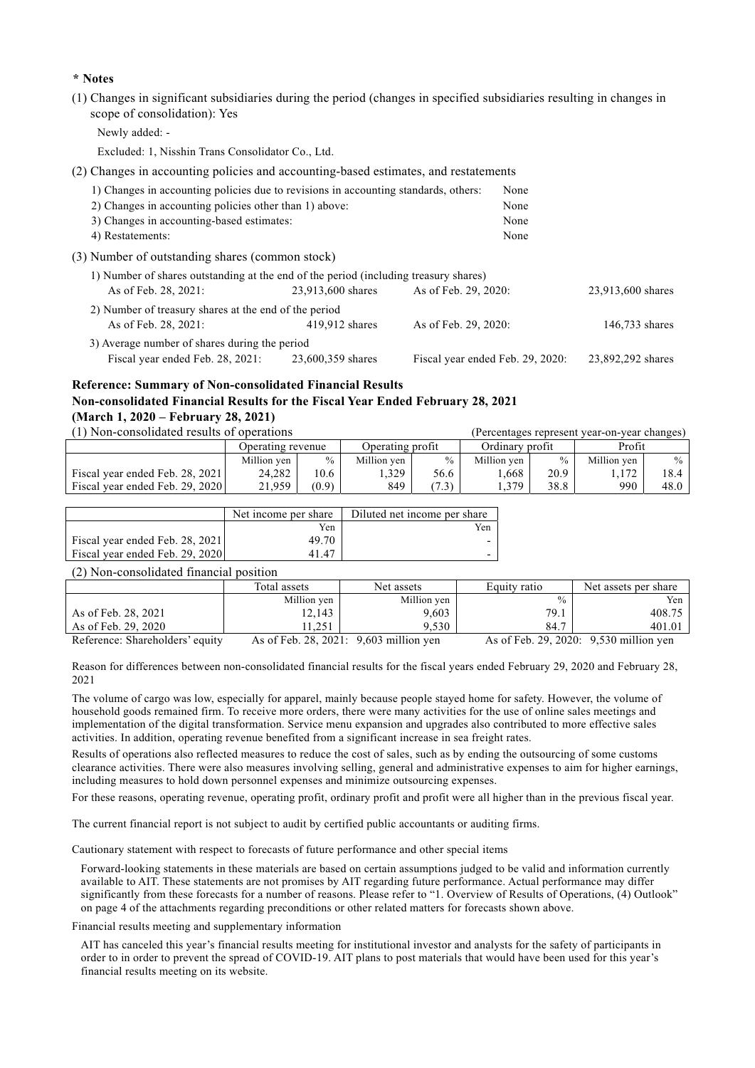### **\* Notes**

(1) Changes in significant subsidiaries during the period (changes in specified subsidiaries resulting in changes in scope of consolidation): Yes

Newly added: -

Excluded: 1, Nisshin Trans Consolidator Co., Ltd.

(2) Changes in accounting policies and accounting-based estimates, and restatements

| 1) Changes in accounting policies due to revisions in accounting standards, others:  |                   | None                             |                   |
|--------------------------------------------------------------------------------------|-------------------|----------------------------------|-------------------|
| 2) Changes in accounting policies other than 1) above:                               |                   | None                             |                   |
| 3) Changes in accounting-based estimates:                                            |                   | None                             |                   |
| 4) Restatements:                                                                     | None              |                                  |                   |
| (3) Number of outstanding shares (common stock)                                      |                   |                                  |                   |
| 1) Number of shares outstanding at the end of the period (including treasury shares) |                   |                                  |                   |
| As of Feb. 28, 2021:                                                                 | 23,913,600 shares | As of Feb. 29, 2020:             | 23,913,600 shares |
| 2) Number of treasury shares at the end of the period                                |                   |                                  |                   |
| As of Feb. 28, 2021:                                                                 | $419,912$ shares  | As of Feb. 29, 2020:             | 146,733 shares    |
| 3) Average number of shares during the period                                        |                   |                                  |                   |
| Fiscal year ended Feb. 28, 2021:                                                     | 23,600,359 shares | Fiscal year ended Feb. 29, 2020: | 23,892,292 shares |

# **Reference: Summary of Non-consolidated Financial Results Non-consolidated Financial Results for the Fiscal Year Ended February 28, 2021 (March 1, 2020 – February 28, 2021)**

| (1) Non-consolidated results of operations |                   |               |                  |       |                 |               | (Percentages represent year-on-year changes) |               |
|--------------------------------------------|-------------------|---------------|------------------|-------|-----------------|---------------|----------------------------------------------|---------------|
|                                            | Operating revenue |               | Operating profit |       | Ordinary profit |               | Profit                                       |               |
|                                            | Million ven       | $\frac{0}{0}$ | Million ven      | $\%$  | Million ven     | $\frac{0}{0}$ | Million ven                                  | $\frac{0}{0}$ |
| Fiscal year ended Feb. 28, 2021            | 24,282            | 10.6          | . 329            | 56.6  | .668            | 20.9          |                                              | 18.4          |
| Fiscal year ended Feb. 29, 2020            | 21.959            | (0.9)         | 849              | (7.3) | .379            | 38.8          | 990                                          | 48.0          |

|                                 | Net income per share | Diluted net income per share |
|---------------------------------|----------------------|------------------------------|
|                                 | Yen                  | Yen                          |
| Fiscal year ended Feb. 28, 2021 | 49.70                |                              |
| Fiscal year ended Feb. 29, 2020 | 41.47                |                              |

### (2) Non-consolidated financial position

|                     | Total assets | Net assets                       | Equity ratio  | Net assets per share             |
|---------------------|--------------|----------------------------------|---------------|----------------------------------|
|                     | Million yen  | Million yen                      | $\frac{0}{0}$ | Yen                              |
| As of Feb. 28, 2021 | 12,143       | 9,603                            | 79.1          | 408.75                           |
| As of Feb. 29, 2020 | 1.251        | 9.530                            | 84.7          | 401.01                           |
|                     |              | $\lambda$ CP-1 20 2021 0.602 111 |               | $\lambda$ CF 1 20 2020 0.520 111 |

Reference: Shareholders' equity As of Feb. 28, 2021: 9,603 million yen As of Feb. 29, 2020: 9,530 million yen

Reason for differences between non-consolidated financial results for the fiscal years ended February 29, 2020 and February 28, 2021

The volume of cargo was low, especially for apparel, mainly because people stayed home for safety. However, the volume of household goods remained firm. To receive more orders, there were many activities for the use of online sales meetings and implementation of the digital transformation. Service menu expansion and upgrades also contributed to more effective sales activities. In addition, operating revenue benefited from a significant increase in sea freight rates.

Results of operations also reflected measures to reduce the cost of sales, such as by ending the outsourcing of some customs clearance activities. There were also measures involving selling, general and administrative expenses to aim for higher earnings, including measures to hold down personnel expenses and minimize outsourcing expenses.

For these reasons, operating revenue, operating profit, ordinary profit and profit were all higher than in the previous fiscal year.

The current financial report is not subject to audit by certified public accountants or auditing firms.

Cautionary statement with respect to forecasts of future performance and other special items

Forward-looking statements in these materials are based on certain assumptions judged to be valid and information currently available to AIT. These statements are not promises by AIT regarding future performance. Actual performance may differ significantly from these forecasts for a number of reasons. Please refer to "1. Overview of Results of Operations, (4) Outlook" on page 4 of the attachments regarding preconditions or other related matters for forecasts shown above.

Financial results meeting and supplementary information

AIT has canceled this year's financial results meeting for institutional investor and analysts for the safety of participants in order to in order to prevent the spread of COVID-19. AIT plans to post materials that would have been used for this year's financial results meeting on its website.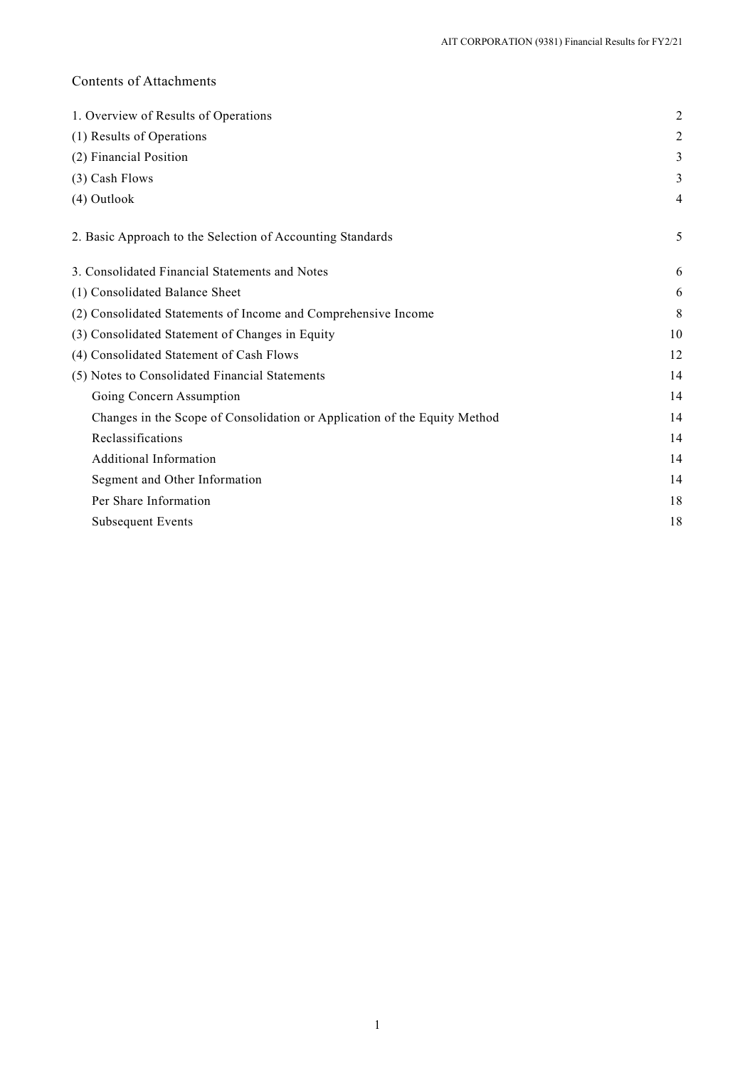# Contents of Attachments

| $\overline{2}$ |
|----------------|
| 2              |
| 3              |
| 3              |
| 4              |
| 5              |
| 6              |
| 6              |
| 8              |
| 10             |
| 12             |
| 14             |
| 14             |
| 14             |
| 14             |
| 14             |
| 14             |
| 18             |
| 18             |
|                |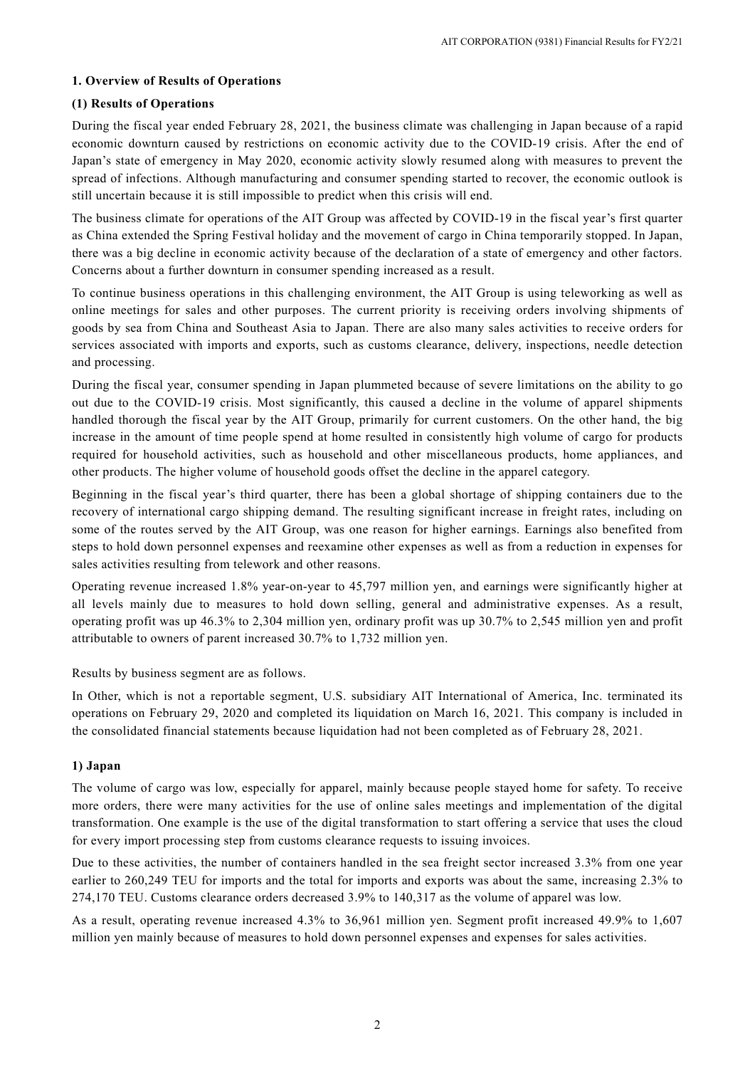# **1. Overview of Results of Operations**

# **(1) Results of Operations**

During the fiscal year ended February 28, 2021, the business climate was challenging in Japan because of a rapid economic downturn caused by restrictions on economic activity due to the COVID-19 crisis. After the end of Japan's state of emergency in May 2020, economic activity slowly resumed along with measures to prevent the spread of infections. Although manufacturing and consumer spending started to recover, the economic outlook is still uncertain because it is still impossible to predict when this crisis will end.

The business climate for operations of the AIT Group was affected by COVID-19 in the fiscal year's first quarter as China extended the Spring Festival holiday and the movement of cargo in China temporarily stopped. In Japan, there was a big decline in economic activity because of the declaration of a state of emergency and other factors. Concerns about a further downturn in consumer spending increased as a result.

To continue business operations in this challenging environment, the AIT Group is using teleworking as well as online meetings for sales and other purposes. The current priority is receiving orders involving shipments of goods by sea from China and Southeast Asia to Japan. There are also many sales activities to receive orders for services associated with imports and exports, such as customs clearance, delivery, inspections, needle detection and processing.

During the fiscal year, consumer spending in Japan plummeted because of severe limitations on the ability to go out due to the COVID-19 crisis. Most significantly, this caused a decline in the volume of apparel shipments handled thorough the fiscal year by the AIT Group, primarily for current customers. On the other hand, the big increase in the amount of time people spend at home resulted in consistently high volume of cargo for products required for household activities, such as household and other miscellaneous products, home appliances, and other products. The higher volume of household goods offset the decline in the apparel category.

Beginning in the fiscal year's third quarter, there has been a global shortage of shipping containers due to the recovery of international cargo shipping demand. The resulting significant increase in freight rates, including on some of the routes served by the AIT Group, was one reason for higher earnings. Earnings also benefited from steps to hold down personnel expenses and reexamine other expenses as well as from a reduction in expenses for sales activities resulting from telework and other reasons.

Operating revenue increased 1.8% year-on-year to 45,797 million yen, and earnings were significantly higher at all levels mainly due to measures to hold down selling, general and administrative expenses. As a result, operating profit was up 46.3% to 2,304 million yen, ordinary profit was up 30.7% to 2,545 million yen and profit attributable to owners of parent increased 30.7% to 1,732 million yen.

Results by business segment are as follows.

In Other, which is not a reportable segment, U.S. subsidiary AIT International of America, Inc. terminated its operations on February 29, 2020 and completed its liquidation on March 16, 2021. This company is included in the consolidated financial statements because liquidation had not been completed as of February 28, 2021.

# **1) Japan**

The volume of cargo was low, especially for apparel, mainly because people stayed home for safety. To receive more orders, there were many activities for the use of online sales meetings and implementation of the digital transformation. One example is the use of the digital transformation to start offering a service that uses the cloud for every import processing step from customs clearance requests to issuing invoices.

Due to these activities, the number of containers handled in the sea freight sector increased 3.3% from one year earlier to 260,249 TEU for imports and the total for imports and exports was about the same, increasing 2.3% to 274,170 TEU. Customs clearance orders decreased 3.9% to 140,317 as the volume of apparel was low.

As a result, operating revenue increased 4.3% to 36,961 million yen. Segment profit increased 49.9% to 1,607 million yen mainly because of measures to hold down personnel expenses and expenses for sales activities.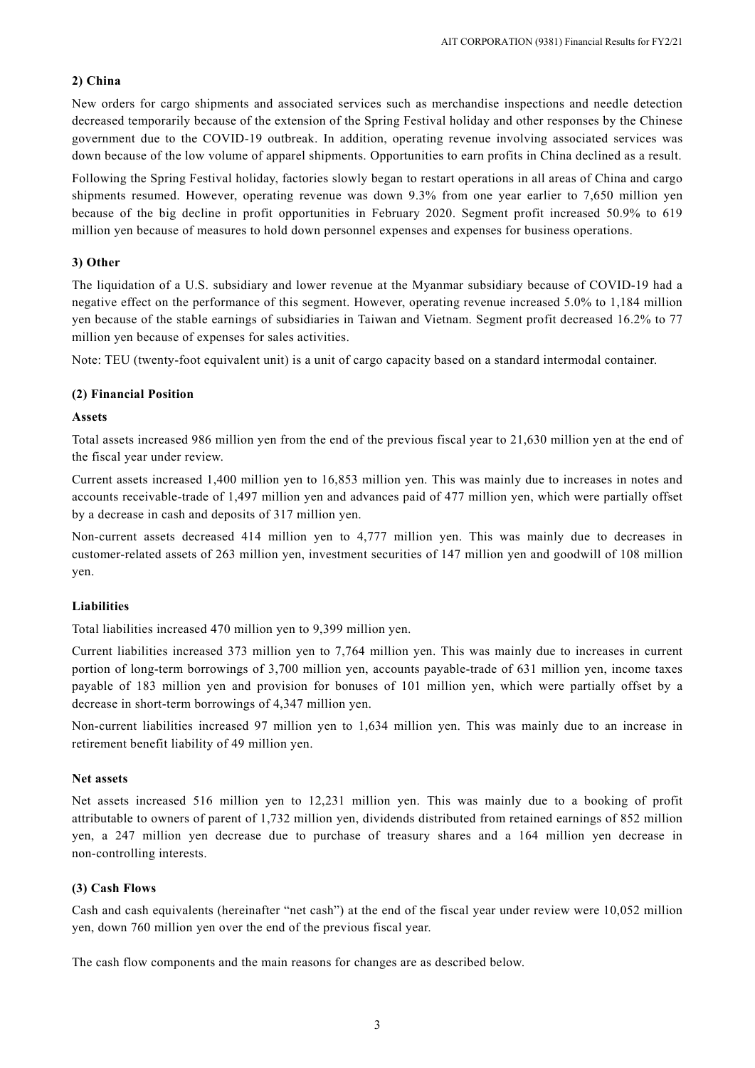# **2) China**

New orders for cargo shipments and associated services such as merchandise inspections and needle detection decreased temporarily because of the extension of the Spring Festival holiday and other responses by the Chinese government due to the COVID-19 outbreak. In addition, operating revenue involving associated services was down because of the low volume of apparel shipments. Opportunities to earn profits in China declined as a result.

Following the Spring Festival holiday, factories slowly began to restart operations in all areas of China and cargo shipments resumed. However, operating revenue was down 9.3% from one year earlier to 7,650 million yen because of the big decline in profit opportunities in February 2020. Segment profit increased 50.9% to 619 million yen because of measures to hold down personnel expenses and expenses for business operations.

### **3) Other**

The liquidation of a U.S. subsidiary and lower revenue at the Myanmar subsidiary because of COVID-19 had a negative effect on the performance of this segment. However, operating revenue increased 5.0% to 1,184 million yen because of the stable earnings of subsidiaries in Taiwan and Vietnam. Segment profit decreased 16.2% to 77 million yen because of expenses for sales activities.

Note: TEU (twenty-foot equivalent unit) is a unit of cargo capacity based on a standard intermodal container.

### **(2) Financial Position**

### **Assets**

Total assets increased 986 million yen from the end of the previous fiscal year to 21,630 million yen at the end of the fiscal year under review.

Current assets increased 1,400 million yen to 16,853 million yen. This was mainly due to increases in notes and accounts receivable-trade of 1,497 million yen and advances paid of 477 million yen, which were partially offset by a decrease in cash and deposits of 317 million yen.

Non-current assets decreased 414 million yen to 4,777 million yen. This was mainly due to decreases in customer-related assets of 263 million yen, investment securities of 147 million yen and goodwill of 108 million yen.

### **Liabilities**

Total liabilities increased 470 million yen to 9,399 million yen.

Current liabilities increased 373 million yen to 7,764 million yen. This was mainly due to increases in current portion of long-term borrowings of 3,700 million yen, accounts payable-trade of 631 million yen, income taxes payable of 183 million yen and provision for bonuses of 101 million yen, which were partially offset by a decrease in short-term borrowings of 4,347 million yen.

Non-current liabilities increased 97 million yen to 1,634 million yen. This was mainly due to an increase in retirement benefit liability of 49 million yen.

### **Net assets**

Net assets increased 516 million yen to 12,231 million yen. This was mainly due to a booking of profit attributable to owners of parent of 1,732 million yen, dividends distributed from retained earnings of 852 million yen, a 247 million yen decrease due to purchase of treasury shares and a 164 million yen decrease in non-controlling interests.

### **(3) Cash Flows**

Cash and cash equivalents (hereinafter "net cash") at the end of the fiscal year under review were 10,052 million yen, down 760 million yen over the end of the previous fiscal year.

The cash flow components and the main reasons for changes are as described below.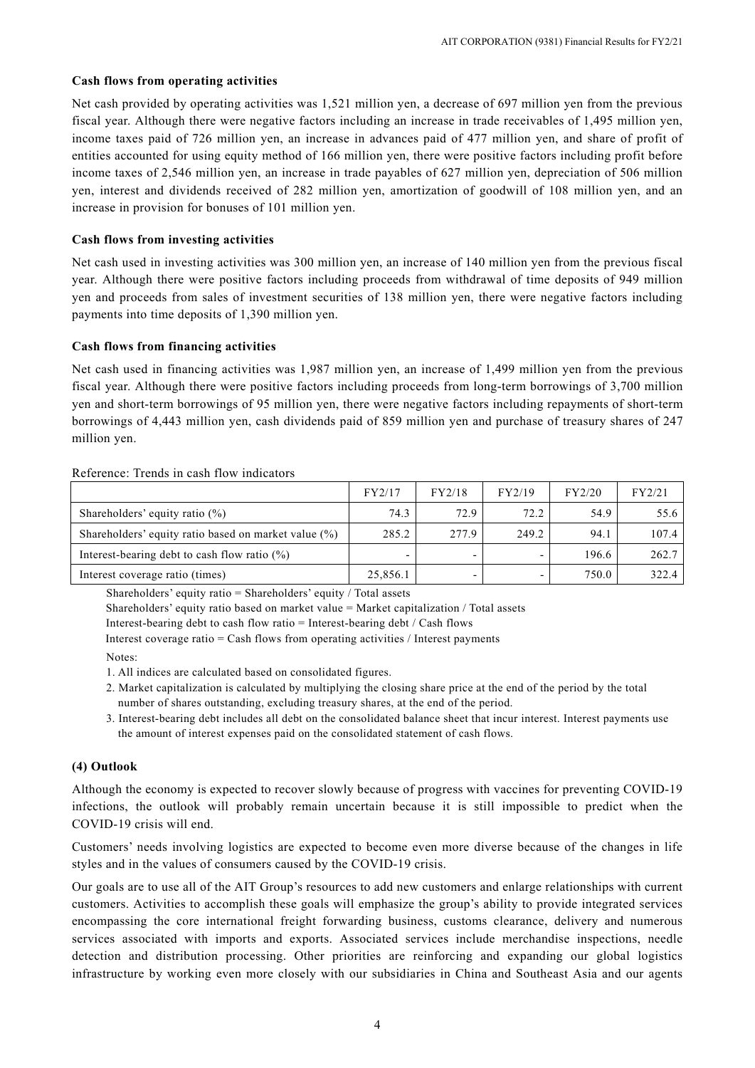# **Cash flows from operating activities**

Net cash provided by operating activities was 1,521 million yen, a decrease of 697 million yen from the previous fiscal year. Although there were negative factors including an increase in trade receivables of 1,495 million yen, income taxes paid of 726 million yen, an increase in advances paid of 477 million yen, and share of profit of entities accounted for using equity method of 166 million yen, there were positive factors including profit before income taxes of 2,546 million yen, an increase in trade payables of 627 million yen, depreciation of 506 million yen, interest and dividends received of 282 million yen, amortization of goodwill of 108 million yen, and an increase in provision for bonuses of 101 million yen.

# **Cash flows from investing activities**

Net cash used in investing activities was 300 million yen, an increase of 140 million yen from the previous fiscal year. Although there were positive factors including proceeds from withdrawal of time deposits of 949 million yen and proceeds from sales of investment securities of 138 million yen, there were negative factors including payments into time deposits of 1,390 million yen.

# **Cash flows from financing activities**

Net cash used in financing activities was 1,987 million yen, an increase of 1,499 million yen from the previous fiscal year. Although there were positive factors including proceeds from long-term borrowings of 3,700 million yen and short-term borrowings of 95 million yen, there were negative factors including repayments of short-term borrowings of 4,443 million yen, cash dividends paid of 859 million yen and purchase of treasury shares of 247 million yen.

### Reference: Trends in cash flow indicators

|                                                      | FY2/17   | FY2/18 | FY2/19 | FY2/20 | FY2/21 |
|------------------------------------------------------|----------|--------|--------|--------|--------|
| Shareholders' equity ratio $(\%)$                    | 74.3     | 72.9   | 72.2   | 54.9   | 55.6   |
| Shareholders' equity ratio based on market value (%) | 285.2    | 277.9  | 249.2  | 94.1   | 107.4  |
| Interest-bearing debt to cash flow ratio $(\%)$      |          |        |        | 196.6  | 262.7  |
| Interest coverage ratio (times)                      | 25,856.1 | -      |        | 750.0  | 322.4  |

Shareholders' equity ratio = Shareholders' equity / Total assets

Shareholders' equity ratio based on market value = Market capitalization / Total assets

Interest-bearing debt to cash flow ratio = Interest-bearing debt / Cash flows

Interest coverage ratio  $=$  Cash flows from operating activities / Interest payments

Notes:

1. All indices are calculated based on consolidated figures.

- 2. Market capitalization is calculated by multiplying the closing share price at the end of the period by the total number of shares outstanding, excluding treasury shares, at the end of the period.
- 3. Interest-bearing debt includes all debt on the consolidated balance sheet that incur interest. Interest payments use the amount of interest expenses paid on the consolidated statement of cash flows.

# **(4) Outlook**

Although the economy is expected to recover slowly because of progress with vaccines for preventing COVID-19 infections, the outlook will probably remain uncertain because it is still impossible to predict when the COVID-19 crisis will end.

Customers' needs involving logistics are expected to become even more diverse because of the changes in life styles and in the values of consumers caused by the COVID-19 crisis.

Our goals are to use all of the AIT Group's resources to add new customers and enlarge relationships with current customers. Activities to accomplish these goals will emphasize the group's ability to provide integrated services encompassing the core international freight forwarding business, customs clearance, delivery and numerous services associated with imports and exports. Associated services include merchandise inspections, needle detection and distribution processing. Other priorities are reinforcing and expanding our global logistics infrastructure by working even more closely with our subsidiaries in China and Southeast Asia and our agents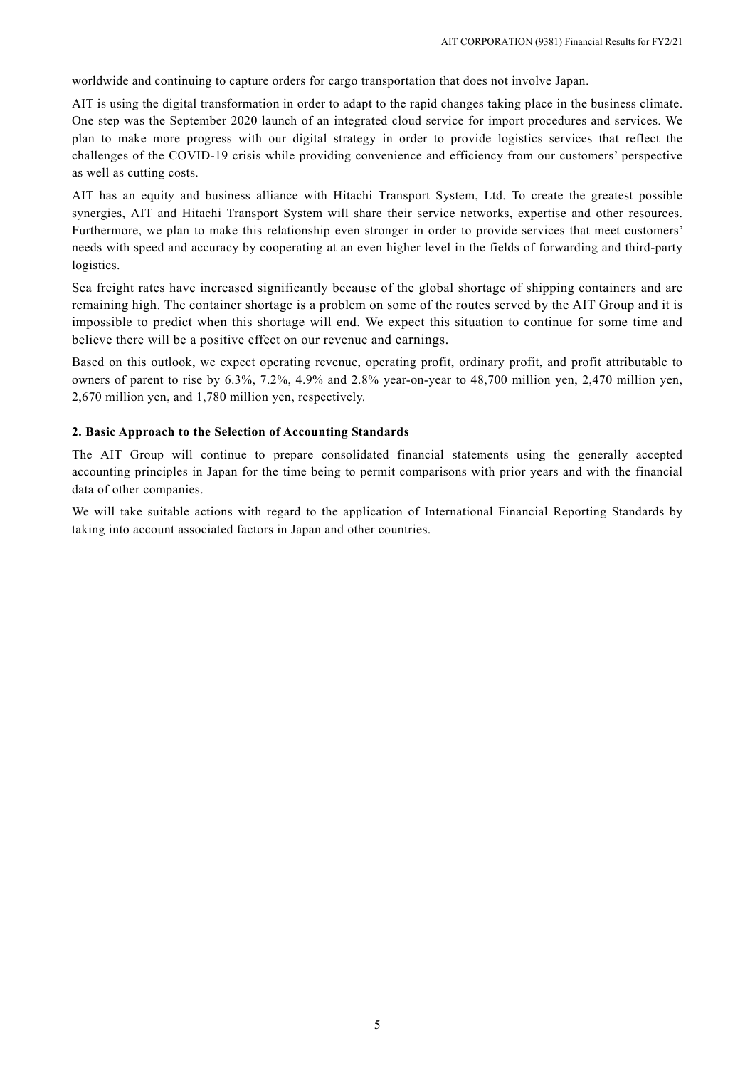worldwide and continuing to capture orders for cargo transportation that does not involve Japan.

AIT is using the digital transformation in order to adapt to the rapid changes taking place in the business climate. One step was the September 2020 launch of an integrated cloud service for import procedures and services. We plan to make more progress with our digital strategy in order to provide logistics services that reflect the challenges of the COVID-19 crisis while providing convenience and efficiency from our customers' perspective as well as cutting costs.

AIT has an equity and business alliance with Hitachi Transport System, Ltd. To create the greatest possible synergies, AIT and Hitachi Transport System will share their service networks, expertise and other resources. Furthermore, we plan to make this relationship even stronger in order to provide services that meet customers' needs with speed and accuracy by cooperating at an even higher level in the fields of forwarding and third-party logistics.

Sea freight rates have increased significantly because of the global shortage of shipping containers and are remaining high. The container shortage is a problem on some of the routes served by the AIT Group and it is impossible to predict when this shortage will end. We expect this situation to continue for some time and believe there will be a positive effect on our revenue and earnings.

Based on this outlook, we expect operating revenue, operating profit, ordinary profit, and profit attributable to owners of parent to rise by 6.3%, 7.2%, 4.9% and 2.8% year-on-year to 48,700 million yen, 2,470 million yen, 2,670 million yen, and 1,780 million yen, respectively.

### **2. Basic Approach to the Selection of Accounting Standards**

The AIT Group will continue to prepare consolidated financial statements using the generally accepted accounting principles in Japan for the time being to permit comparisons with prior years and with the financial data of other companies.

We will take suitable actions with regard to the application of International Financial Reporting Standards by taking into account associated factors in Japan and other countries.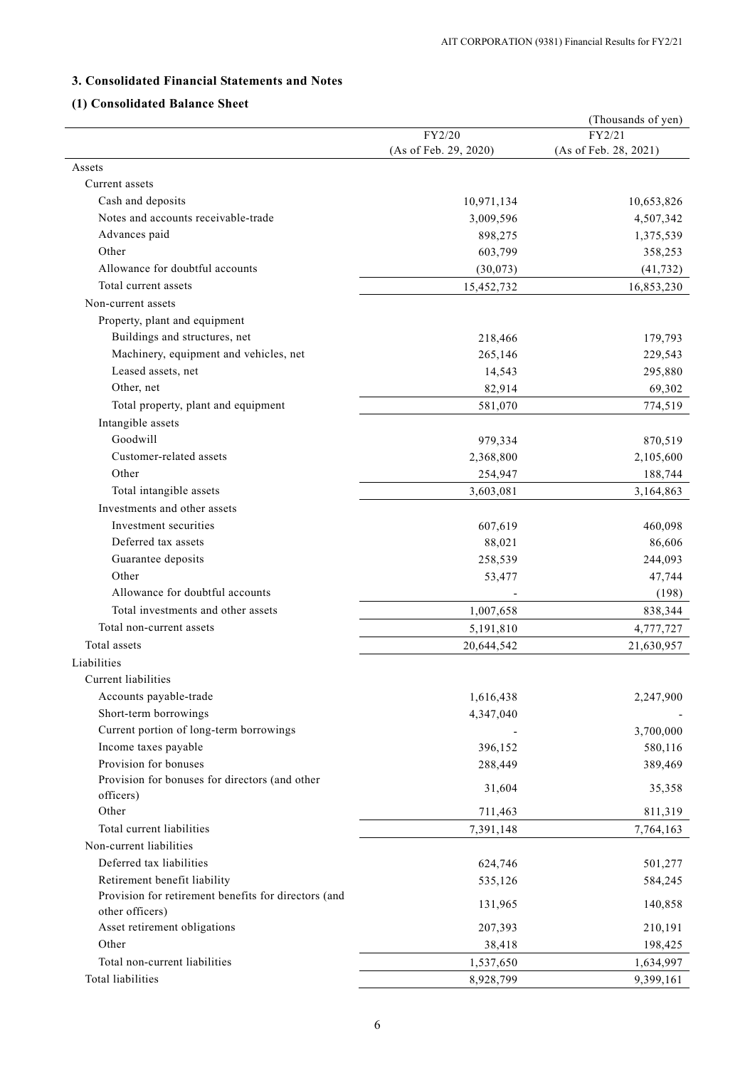# **3. Consolidated Financial Statements and Notes**

# **(1) Consolidated Balance Sheet**

|                                                      |                        | (Thousands of yen)    |
|------------------------------------------------------|------------------------|-----------------------|
|                                                      | FY2/20                 | FY2/21                |
|                                                      | (As of Feb. 29, 2020)  | (As of Feb. 28, 2021) |
| Assets                                               |                        |                       |
| Current assets                                       |                        |                       |
| Cash and deposits                                    | 10,971,134             | 10,653,826            |
| Notes and accounts receivable-trade                  | 3,009,596              | 4,507,342             |
| Advances paid                                        | 898,275                | 1,375,539             |
| Other                                                | 603,799                | 358,253               |
| Allowance for doubtful accounts                      | (30,073)               | (41, 732)             |
| Total current assets                                 | 15,452,732             | 16,853,230            |
| Non-current assets                                   |                        |                       |
| Property, plant and equipment                        |                        |                       |
| Buildings and structures, net                        | 218,466                | 179,793               |
| Machinery, equipment and vehicles, net               | 265,146                | 229,543               |
| Leased assets, net                                   | 14,543                 | 295,880               |
| Other, net                                           | 82,914                 | 69,302                |
| Total property, plant and equipment                  | 581,070                | 774,519               |
| Intangible assets                                    |                        |                       |
| Goodwill                                             | 979,334                | 870,519               |
| Customer-related assets                              | 2,368,800              | 2,105,600             |
| Other                                                | 254,947                | 188,744               |
| Total intangible assets                              | 3,603,081              | 3,164,863             |
| Investments and other assets                         |                        |                       |
| Investment securities                                | 607,619                | 460,098               |
| Deferred tax assets                                  | 88,021                 | 86,606                |
| Guarantee deposits                                   | 258,539                | 244,093               |
| Other                                                | 53,477                 | 47,744                |
| Allowance for doubtful accounts                      |                        | (198)                 |
| Total investments and other assets                   | 1,007,658              | 838,344               |
| Total non-current assets                             | 5,191,810              | 4,777,727             |
| Total assets                                         | 20,644,542             | 21,630,957            |
| Liabilities                                          |                        |                       |
| Current liabilities                                  |                        |                       |
|                                                      |                        |                       |
| Accounts payable-trade<br>Short-term borrowings      | 1,616,438<br>4,347,040 | 2,247,900             |
| Current portion of long-term borrowings              |                        | 3,700,000             |
| Income taxes payable                                 | 396,152                | 580,116               |
| Provision for bonuses                                | 288,449                | 389,469               |
| Provision for bonuses for directors (and other       |                        |                       |
| officers)                                            | 31,604                 | 35,358                |
| Other                                                | 711,463                | 811,319               |
| Total current liabilities                            | 7,391,148              | 7,764,163             |
| Non-current liabilities                              |                        |                       |
| Deferred tax liabilities                             | 624,746                | 501,277               |
| Retirement benefit liability                         | 535,126                | 584,245               |
| Provision for retirement benefits for directors (and |                        |                       |
| other officers)                                      | 131,965                | 140,858               |
| Asset retirement obligations                         | 207,393                | 210,191               |
| Other                                                | 38,418                 | 198,425               |
| Total non-current liabilities                        | 1,537,650              | 1,634,997             |
| Total liabilities                                    | 8,928,799              | 9,399,161             |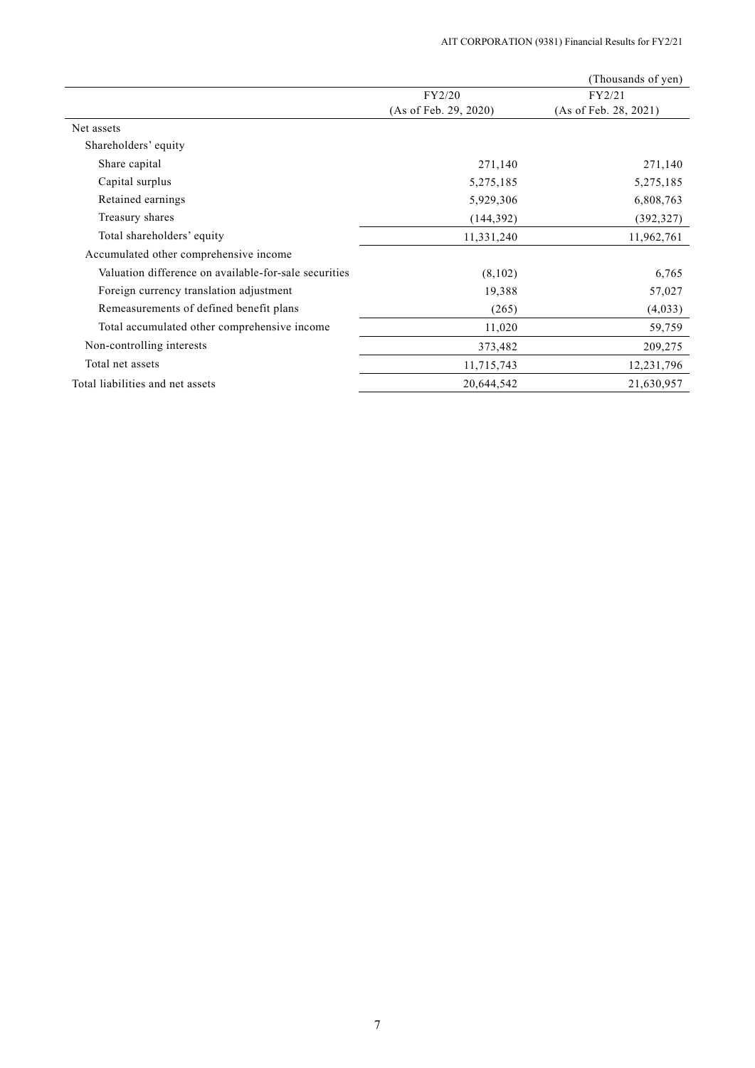|                                                       |                       | (Thousands of yen)    |
|-------------------------------------------------------|-----------------------|-----------------------|
|                                                       | FY2/20                | FY2/21                |
|                                                       | (As of Feb. 29, 2020) | (As of Feb. 28, 2021) |
| Net assets                                            |                       |                       |
| Shareholders' equity                                  |                       |                       |
| Share capital                                         | 271,140               | 271,140               |
| Capital surplus                                       | 5,275,185             | 5,275,185             |
| Retained earnings                                     | 5,929,306             | 6,808,763             |
| Treasury shares                                       | (144, 392)            | (392, 327)            |
| Total shareholders' equity                            | 11,331,240            | 11,962,761            |
| Accumulated other comprehensive income                |                       |                       |
| Valuation difference on available-for-sale securities | (8,102)               | 6,765                 |
| Foreign currency translation adjustment               | 19,388                | 57,027                |
| Remeasurements of defined benefit plans               | (265)                 | (4,033)               |
| Total accumulated other comprehensive income          | 11,020                | 59,759                |
| Non-controlling interests                             | 373,482               | 209,275               |
| Total net assets                                      | 11,715,743            | 12,231,796            |
| Total liabilities and net assets                      | 20,644,542            | 21,630,957            |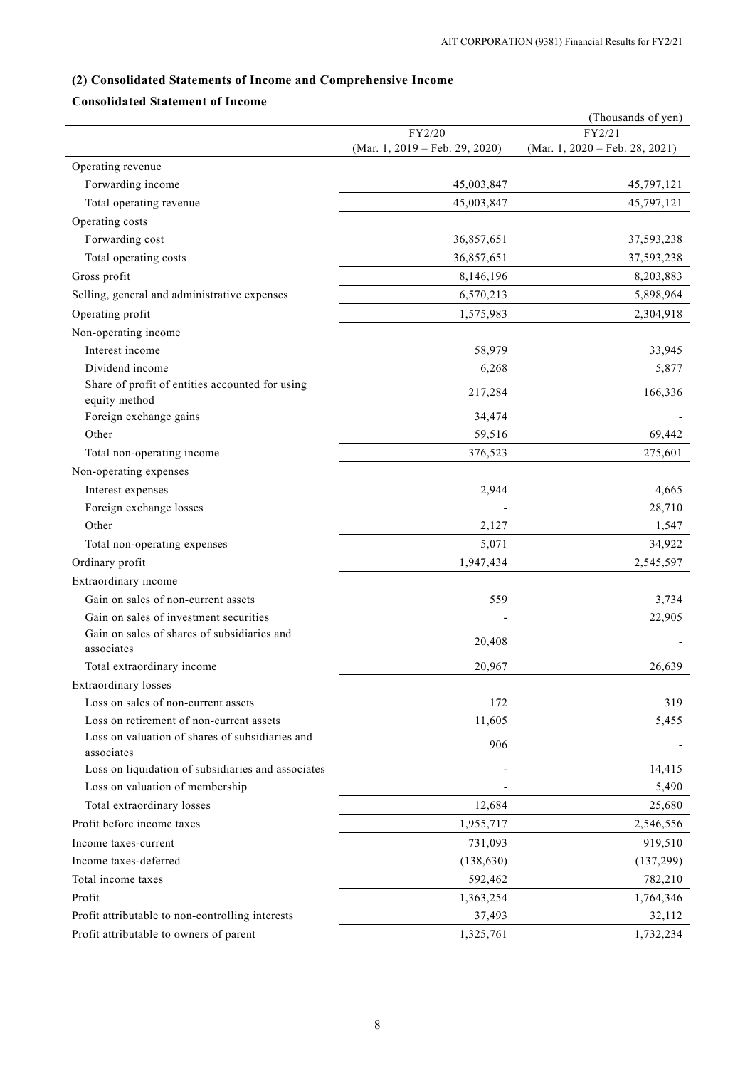# **(2) Consolidated Statements of Income and Comprehensive Income**

# **Consolidated Statement of Income**

|                                                                  |                                          | (Thousands of yen)                       |
|------------------------------------------------------------------|------------------------------------------|------------------------------------------|
|                                                                  | FY2/20<br>(Mar. 1, 2019 – Feb. 29, 2020) | FY2/21<br>(Mar. 1, 2020 – Feb. 28, 2021) |
| Operating revenue                                                |                                          |                                          |
| Forwarding income                                                | 45,003,847                               | 45,797,121                               |
| Total operating revenue                                          | 45,003,847                               | 45,797,121                               |
|                                                                  |                                          |                                          |
| Operating costs                                                  |                                          |                                          |
| Forwarding cost                                                  | 36,857,651                               | 37,593,238                               |
| Total operating costs                                            | 36,857,651                               | 37,593,238                               |
| Gross profit                                                     | 8,146,196                                | 8,203,883                                |
| Selling, general and administrative expenses                     | 6,570,213                                | 5,898,964                                |
| Operating profit                                                 | 1,575,983                                | 2,304,918                                |
| Non-operating income                                             |                                          |                                          |
| Interest income                                                  | 58,979                                   | 33,945                                   |
| Dividend income                                                  | 6,268                                    | 5,877                                    |
| Share of profit of entities accounted for using<br>equity method | 217,284                                  | 166,336                                  |
| Foreign exchange gains                                           | 34,474                                   |                                          |
| Other                                                            | 59,516                                   | 69,442                                   |
| Total non-operating income                                       | 376,523                                  | 275,601                                  |
| Non-operating expenses                                           |                                          |                                          |
| Interest expenses                                                | 2,944                                    | 4,665                                    |
| Foreign exchange losses                                          |                                          | 28,710                                   |
| Other                                                            | 2,127                                    | 1,547                                    |
| Total non-operating expenses                                     | 5,071                                    | 34,922                                   |
| Ordinary profit                                                  | 1,947,434                                | 2,545,597                                |
| Extraordinary income                                             |                                          |                                          |
| Gain on sales of non-current assets                              | 559                                      | 3,734                                    |
| Gain on sales of investment securities                           |                                          | 22,905                                   |
| Gain on sales of shares of subsidiaries and<br>associates        | 20,408                                   |                                          |
| Total extraordinary income                                       | 20,967                                   | 26,639                                   |
| <b>Extraordinary</b> losses                                      |                                          |                                          |
| Loss on sales of non-current assets                              | 172                                      | 319                                      |
| Loss on retirement of non-current assets                         | 11,605                                   | 5,455                                    |
| Loss on valuation of shares of subsidiaries and<br>associates    | 906                                      |                                          |
| Loss on liquidation of subsidiaries and associates               |                                          | 14,415                                   |
| Loss on valuation of membership                                  |                                          | 5,490                                    |
| Total extraordinary losses                                       | 12,684                                   | 25,680                                   |
| Profit before income taxes                                       | 1,955,717                                | 2,546,556                                |
| Income taxes-current                                             | 731,093                                  | 919,510                                  |
| Income taxes-deferred                                            | (138, 630)                               | (137,299)                                |
| Total income taxes                                               |                                          |                                          |
|                                                                  | 592,462                                  | 782,210                                  |
| Profit                                                           | 1,363,254                                | 1,764,346                                |
| Profit attributable to non-controlling interests                 | 37,493                                   | 32,112                                   |
| Profit attributable to owners of parent                          | 1,325,761                                | 1,732,234                                |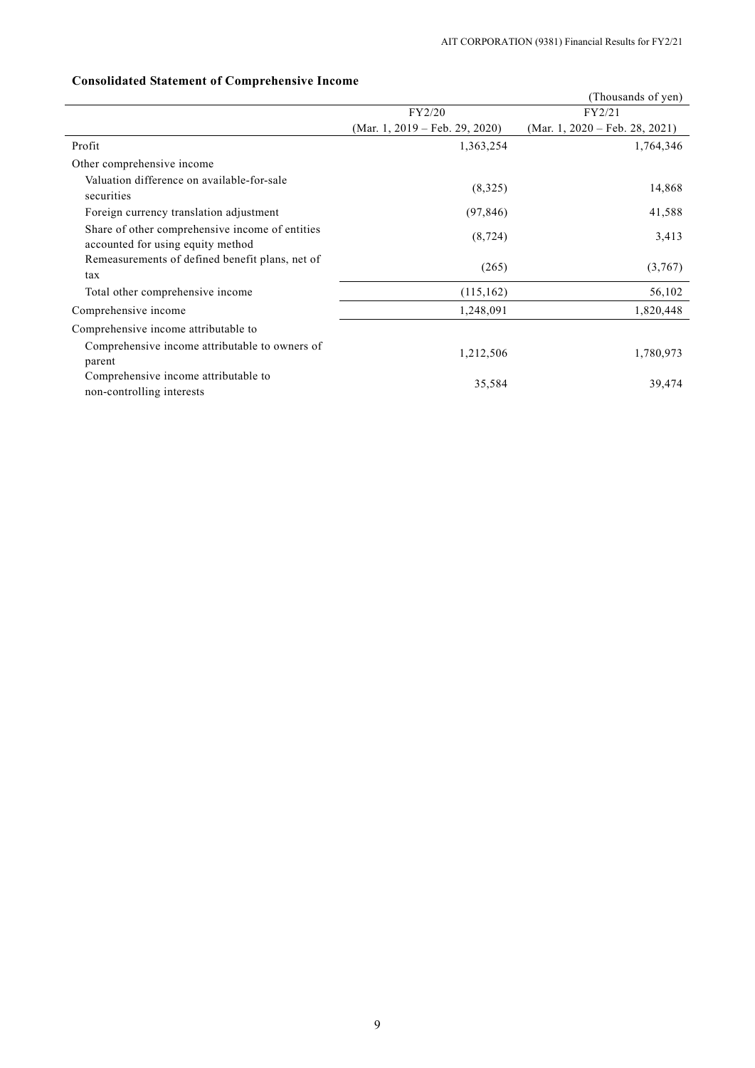# **Consolidated Statement of Comprehensive Income**

|                                                                                      | (Thousands of yen)             |                                |  |
|--------------------------------------------------------------------------------------|--------------------------------|--------------------------------|--|
|                                                                                      | FY2/20                         | FY2/21                         |  |
|                                                                                      | (Mar. 1, 2019 – Feb. 29, 2020) | (Mar. 1, 2020 – Feb. 28, 2021) |  |
| Profit                                                                               | 1,363,254                      | 1,764,346                      |  |
| Other comprehensive income                                                           |                                |                                |  |
| Valuation difference on available-for-sale<br>securities                             | (8,325)                        | 14,868                         |  |
| Foreign currency translation adjustment                                              | (97, 846)                      | 41,588                         |  |
| Share of other comprehensive income of entities<br>accounted for using equity method | (8, 724)                       | 3,413                          |  |
| Remeasurements of defined benefit plans, net of<br>tax                               | (265)                          | (3,767)                        |  |
| Total other comprehensive income                                                     | (115, 162)                     | 56,102                         |  |
| Comprehensive income                                                                 | 1,248,091                      | 1,820,448                      |  |
| Comprehensive income attributable to                                                 |                                |                                |  |
| Comprehensive income attributable to owners of<br>parent                             | 1,212,506                      | 1,780,973                      |  |
| Comprehensive income attributable to<br>non-controlling interests                    | 35,584                         | 39,474                         |  |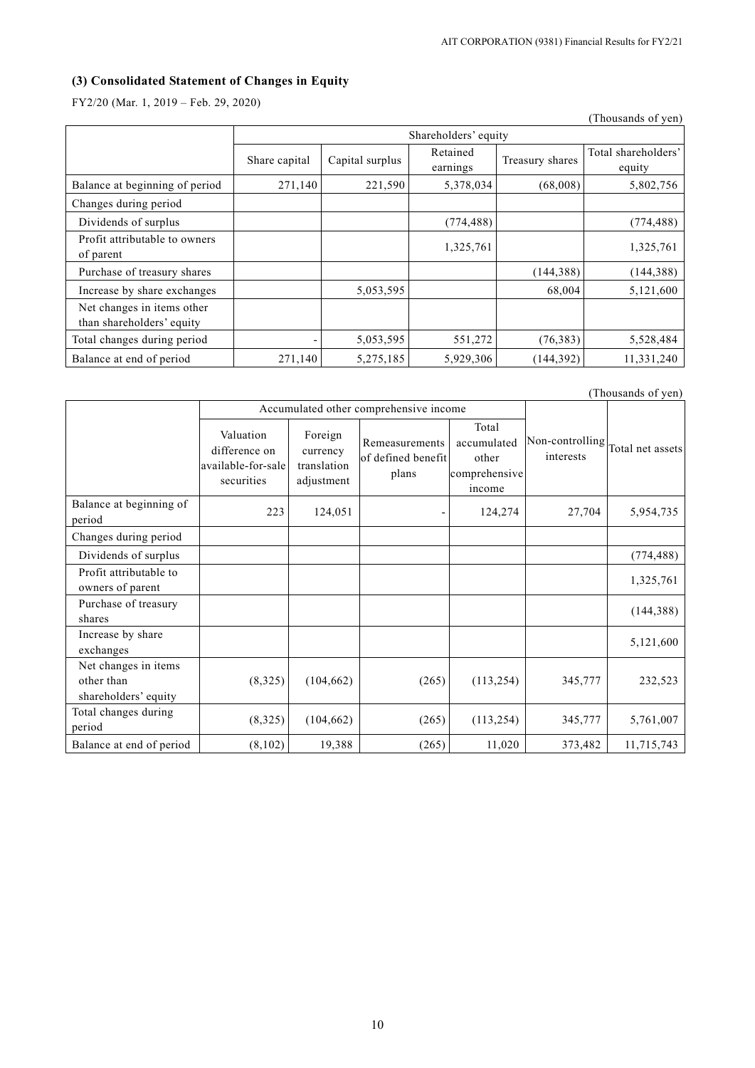# **(3) Consolidated Statement of Changes in Equity**

FY2/20 (Mar. 1, 2019 – Feb. 29, 2020)

|                                                         |               |                      |                      |                 | (Thousands of yen)            |  |  |
|---------------------------------------------------------|---------------|----------------------|----------------------|-----------------|-------------------------------|--|--|
|                                                         |               | Shareholders' equity |                      |                 |                               |  |  |
|                                                         | Share capital | Capital surplus      | Retained<br>earnings | Treasury shares | Total shareholders'<br>equity |  |  |
| Balance at beginning of period                          | 271,140       | 221,590              | 5,378,034            | (68,008)        | 5,802,756                     |  |  |
| Changes during period                                   |               |                      |                      |                 |                               |  |  |
| Dividends of surplus                                    |               |                      | (774, 488)           |                 | (774, 488)                    |  |  |
| Profit attributable to owners<br>of parent              |               |                      | 1,325,761            |                 | 1,325,761                     |  |  |
| Purchase of treasury shares                             |               |                      |                      | (144, 388)      | (144, 388)                    |  |  |
| Increase by share exchanges                             |               | 5,053,595            |                      | 68,004          | 5,121,600                     |  |  |
| Net changes in items other<br>than shareholders' equity |               |                      |                      |                 |                               |  |  |
| Total changes during period                             |               | 5,053,595            | 551,272              | (76, 383)       | 5,528,484                     |  |  |
| Balance at end of period                                | 271,140       | 5,275,185            | 5,929,306            | (144, 392)      | 11,331,240                    |  |  |

(Thousands of yen)

|                                                            |                                                                | Accumulated other comprehensive income           |                                               |                                                          |                              |                  |
|------------------------------------------------------------|----------------------------------------------------------------|--------------------------------------------------|-----------------------------------------------|----------------------------------------------------------|------------------------------|------------------|
|                                                            | Valuation<br>difference on<br>available-for-sale<br>securities | Foreign<br>currency<br>translation<br>adjustment | Remeasurements<br>of defined benefit<br>plans | Total<br>accumulated<br>other<br>comprehensive<br>income | Non-controlling<br>interests | Total net assets |
| Balance at beginning of<br>period                          | 223                                                            | 124,051                                          |                                               | 124,274                                                  | 27,704                       | 5,954,735        |
| Changes during period                                      |                                                                |                                                  |                                               |                                                          |                              |                  |
| Dividends of surplus                                       |                                                                |                                                  |                                               |                                                          |                              | (774, 488)       |
| Profit attributable to<br>owners of parent                 |                                                                |                                                  |                                               |                                                          |                              | 1,325,761        |
| Purchase of treasury<br>shares                             |                                                                |                                                  |                                               |                                                          |                              | (144, 388)       |
| Increase by share<br>exchanges                             |                                                                |                                                  |                                               |                                                          |                              | 5,121,600        |
| Net changes in items<br>other than<br>shareholders' equity | (8,325)                                                        | (104, 662)                                       | (265)                                         | (113, 254)                                               | 345,777                      | 232,523          |
| Total changes during<br>period                             | (8,325)                                                        | (104, 662)                                       | (265)                                         | (113, 254)                                               | 345,777                      | 5,761,007        |
| Balance at end of period                                   | (8,102)                                                        | 19,388                                           | (265)                                         | 11,020                                                   | 373,482                      | 11,715,743       |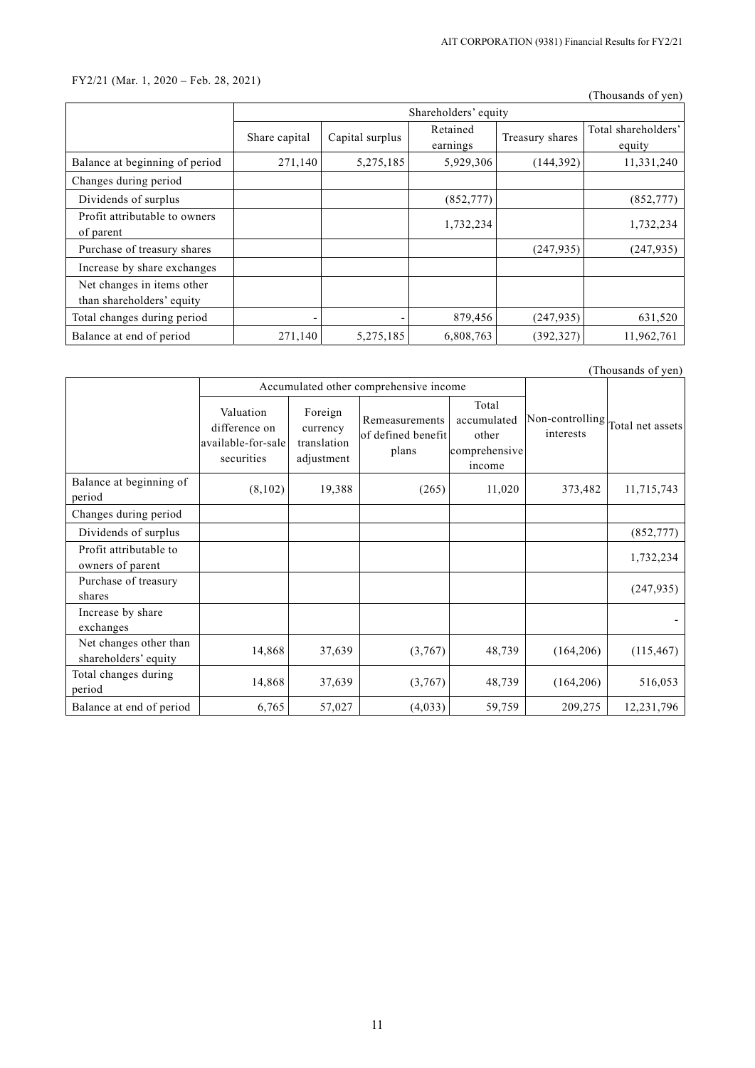# FY2/21 (Mar. 1, 2020 – Feb. 28, 2021)

(Thousands of yen)

|                                                         | Shareholders' equity |                 |                      |                 |                               |  |
|---------------------------------------------------------|----------------------|-----------------|----------------------|-----------------|-------------------------------|--|
|                                                         | Share capital        | Capital surplus | Retained<br>earnings | Treasury shares | Total shareholders'<br>equity |  |
| Balance at beginning of period                          | 271,140              | 5,275,185       | 5,929,306            | (144, 392)      | 11,331,240                    |  |
| Changes during period                                   |                      |                 |                      |                 |                               |  |
| Dividends of surplus                                    |                      |                 | (852, 777)           |                 | (852, 777)                    |  |
| Profit attributable to owners<br>of parent              |                      |                 | 1,732,234            |                 | 1,732,234                     |  |
| Purchase of treasury shares                             |                      |                 |                      | (247, 935)      | (247, 935)                    |  |
| Increase by share exchanges                             |                      |                 |                      |                 |                               |  |
| Net changes in items other<br>than shareholders' equity |                      |                 |                      |                 |                               |  |
| Total changes during period                             | ٠                    |                 | 879,456              | (247, 935)      | 631,520                       |  |
| Balance at end of period                                | 271,140              | 5,275,185       | 6,808,763            | (392, 327)      | 11,962,761                    |  |

| (Thousands of yen)                             |                                                                |                                                  |                                               |                                                          |                              |                  |
|------------------------------------------------|----------------------------------------------------------------|--------------------------------------------------|-----------------------------------------------|----------------------------------------------------------|------------------------------|------------------|
|                                                |                                                                |                                                  | Accumulated other comprehensive income        |                                                          |                              |                  |
|                                                | Valuation<br>difference on<br>available-for-sale<br>securities | Foreign<br>currency<br>translation<br>adjustment | Remeasurements<br>of defined benefit<br>plans | Total<br>accumulated<br>other<br>comprehensive<br>income | Non-controlling<br>interests | Total net assets |
| Balance at beginning of<br>period              | (8,102)                                                        | 19,388                                           | (265)                                         | 11,020                                                   | 373,482                      | 11,715,743       |
| Changes during period                          |                                                                |                                                  |                                               |                                                          |                              |                  |
| Dividends of surplus                           |                                                                |                                                  |                                               |                                                          |                              | (852, 777)       |
| Profit attributable to<br>owners of parent     |                                                                |                                                  |                                               |                                                          |                              | 1,732,234        |
| Purchase of treasury<br>shares                 |                                                                |                                                  |                                               |                                                          |                              | (247, 935)       |
| Increase by share<br>exchanges                 |                                                                |                                                  |                                               |                                                          |                              |                  |
| Net changes other than<br>shareholders' equity | 14,868                                                         | 37,639                                           | (3,767)                                       | 48,739                                                   | (164, 206)                   | (115, 467)       |
| Total changes during<br>period                 | 14,868                                                         | 37,639                                           | (3,767)                                       | 48,739                                                   | (164, 206)                   | 516,053          |
| Balance at end of period                       | 6,765                                                          | 57,027                                           | (4,033)                                       | 59,759                                                   | 209,275                      | 12,231,796       |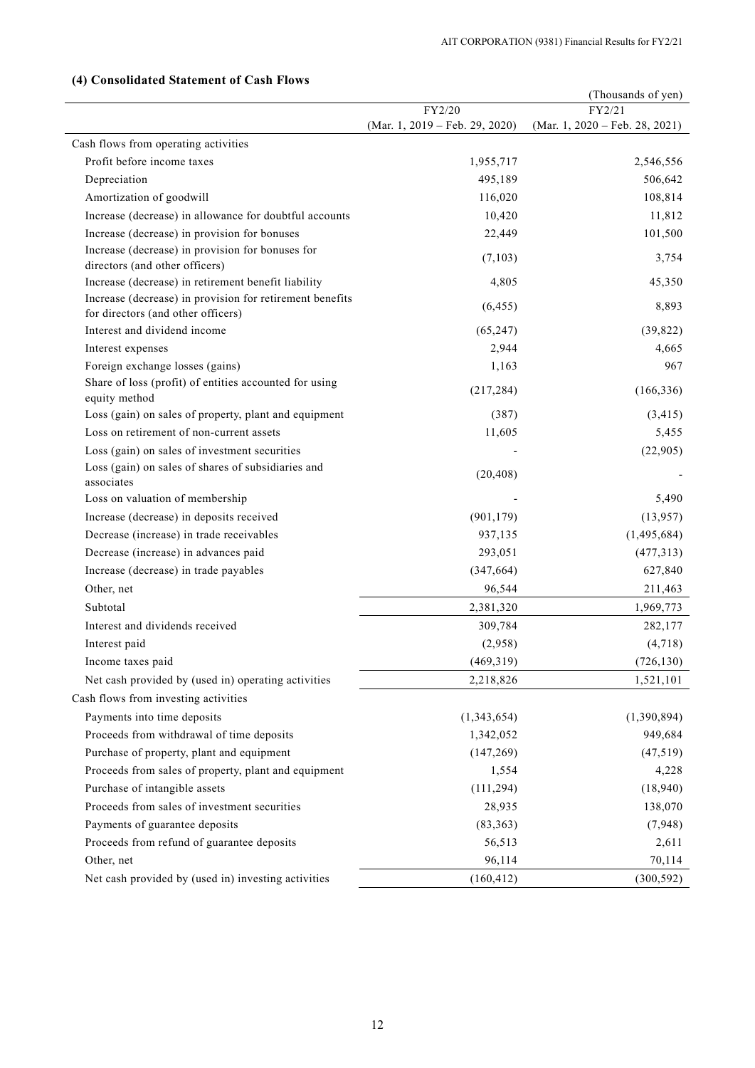|                                                                                                | (Thousands of yen)             |                                |  |
|------------------------------------------------------------------------------------------------|--------------------------------|--------------------------------|--|
|                                                                                                | FY2/20                         | FY2/21                         |  |
|                                                                                                | (Mar. 1, 2019 – Feb. 29, 2020) | (Mar. 1, 2020 – Feb. 28, 2021) |  |
| Cash flows from operating activities                                                           |                                |                                |  |
| Profit before income taxes                                                                     | 1,955,717                      | 2,546,556                      |  |
| Depreciation                                                                                   | 495,189                        | 506,642                        |  |
| Amortization of goodwill                                                                       | 116,020                        | 108,814                        |  |
| Increase (decrease) in allowance for doubtful accounts                                         | 10,420                         | 11,812                         |  |
| Increase (decrease) in provision for bonuses                                                   | 22,449                         | 101,500                        |  |
| Increase (decrease) in provision for bonuses for<br>directors (and other officers)             | (7,103)                        | 3,754                          |  |
| Increase (decrease) in retirement benefit liability                                            | 4,805                          | 45,350                         |  |
| Increase (decrease) in provision for retirement benefits<br>for directors (and other officers) | (6, 455)                       | 8,893                          |  |
| Interest and dividend income                                                                   | (65, 247)                      | (39, 822)                      |  |
| Interest expenses                                                                              | 2,944                          | 4,665                          |  |
| Foreign exchange losses (gains)                                                                | 1,163                          | 967                            |  |
| Share of loss (profit) of entities accounted for using<br>equity method                        | (217, 284)                     | (166, 336)                     |  |
| Loss (gain) on sales of property, plant and equipment                                          | (387)                          | (3, 415)                       |  |
| Loss on retirement of non-current assets                                                       | 11,605                         | 5,455                          |  |
| Loss (gain) on sales of investment securities                                                  |                                | (22,905)                       |  |
| Loss (gain) on sales of shares of subsidiaries and<br>associates                               | (20, 408)                      |                                |  |
| Loss on valuation of membership                                                                |                                | 5,490                          |  |
| Increase (decrease) in deposits received                                                       | (901, 179)                     | (13,957)                       |  |
| Decrease (increase) in trade receivables                                                       | 937,135                        | (1,495,684)                    |  |
| Decrease (increase) in advances paid                                                           | 293,051                        | (477, 313)                     |  |
| Increase (decrease) in trade payables                                                          | (347, 664)                     | 627,840                        |  |
| Other, net                                                                                     | 96,544                         | 211,463                        |  |
| Subtotal                                                                                       | 2,381,320                      | 1,969,773                      |  |
| Interest and dividends received                                                                | 309,784                        | 282,177                        |  |
| Interest paid                                                                                  | (2,958)                        | (4,718)                        |  |
| Income taxes paid                                                                              | (469, 319)                     | (726, 130)                     |  |
| Net cash provided by (used in) operating activities                                            | 2,218,826                      | 1,521,101                      |  |
| Cash flows from investing activities                                                           |                                |                                |  |
| Payments into time deposits                                                                    | (1,343,654)                    | (1,390,894)                    |  |
| Proceeds from withdrawal of time deposits                                                      | 1,342,052                      | 949,684                        |  |
| Purchase of property, plant and equipment                                                      | (147, 269)                     | (47, 519)                      |  |
| Proceeds from sales of property, plant and equipment                                           | 1,554                          | 4,228                          |  |
| Purchase of intangible assets                                                                  | (111, 294)                     | (18,940)                       |  |
| Proceeds from sales of investment securities                                                   | 28,935                         | 138,070                        |  |
| Payments of guarantee deposits                                                                 | (83, 363)                      | (7,948)                        |  |
| Proceeds from refund of guarantee deposits                                                     | 56,513                         | 2,611                          |  |
| Other, net                                                                                     | 96,114                         | 70,114                         |  |
| Net cash provided by (used in) investing activities                                            | (160, 412)                     | (300, 592)                     |  |
|                                                                                                |                                |                                |  |

# **(4) Consolidated Statement of Cash Flows**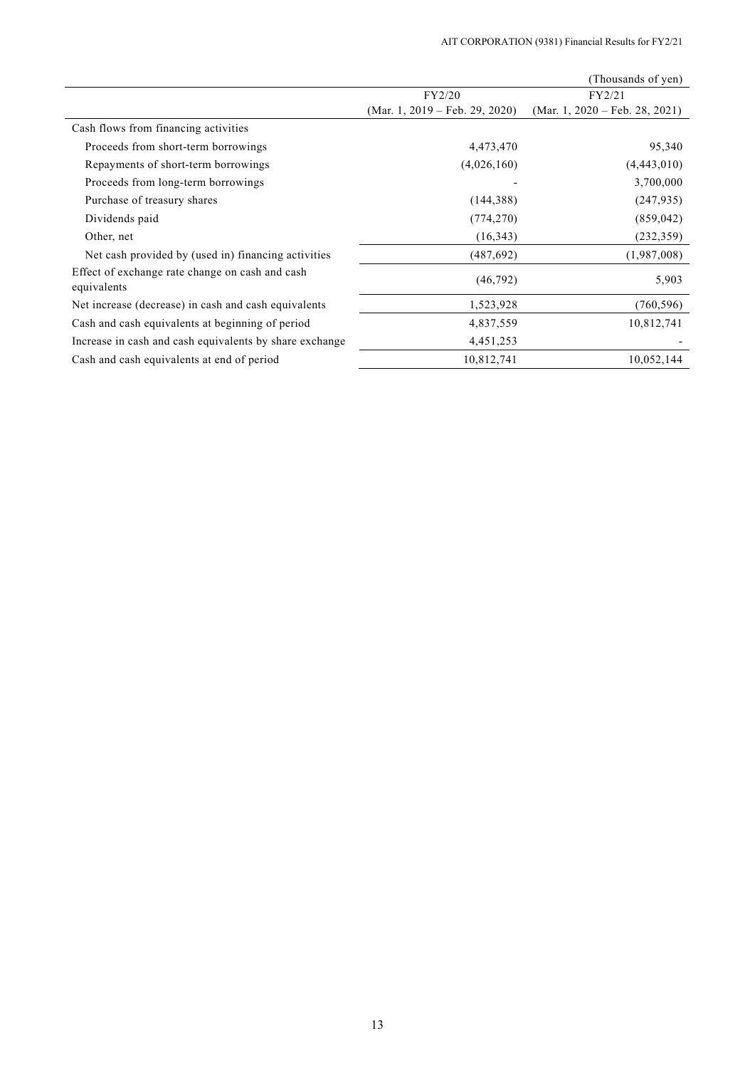|                                                                |                                | (Thousands of yen)             |
|----------------------------------------------------------------|--------------------------------|--------------------------------|
|                                                                | FY2/20                         | FY2/21                         |
|                                                                | (Mar. 1, 2019 – Feb. 29, 2020) | (Mar. 1, 2020 – Feb. 28, 2021) |
| Cash flows from financing activities                           |                                |                                |
| Proceeds from short-term borrowings                            | 4,473,470                      | 95,340                         |
| Repayments of short-term borrowings                            | (4,026,160)                    | (4,443,010)                    |
| Proceeds from long-term borrowings                             |                                | 3,700,000                      |
| Purchase of treasury shares                                    | (144, 388)                     | (247, 935)                     |
| Dividends paid                                                 | (774, 270)                     | (859, 042)                     |
| Other, net                                                     | (16, 343)                      | (232, 359)                     |
| Net cash provided by (used in) financing activities            | (487, 692)                     | (1,987,008)                    |
| Effect of exchange rate change on cash and cash<br>equivalents | (46,792)                       | 5,903                          |
| Net increase (decrease) in cash and cash equivalents           | 1,523,928                      | (760, 596)                     |
| Cash and cash equivalents at beginning of period               | 4,837,559                      | 10,812,741                     |
| Increase in cash and cash equivalents by share exchange        | 4,451,253                      |                                |
| Cash and cash equivalents at end of period                     | 10,812,741                     | 10,052,144                     |
|                                                                |                                |                                |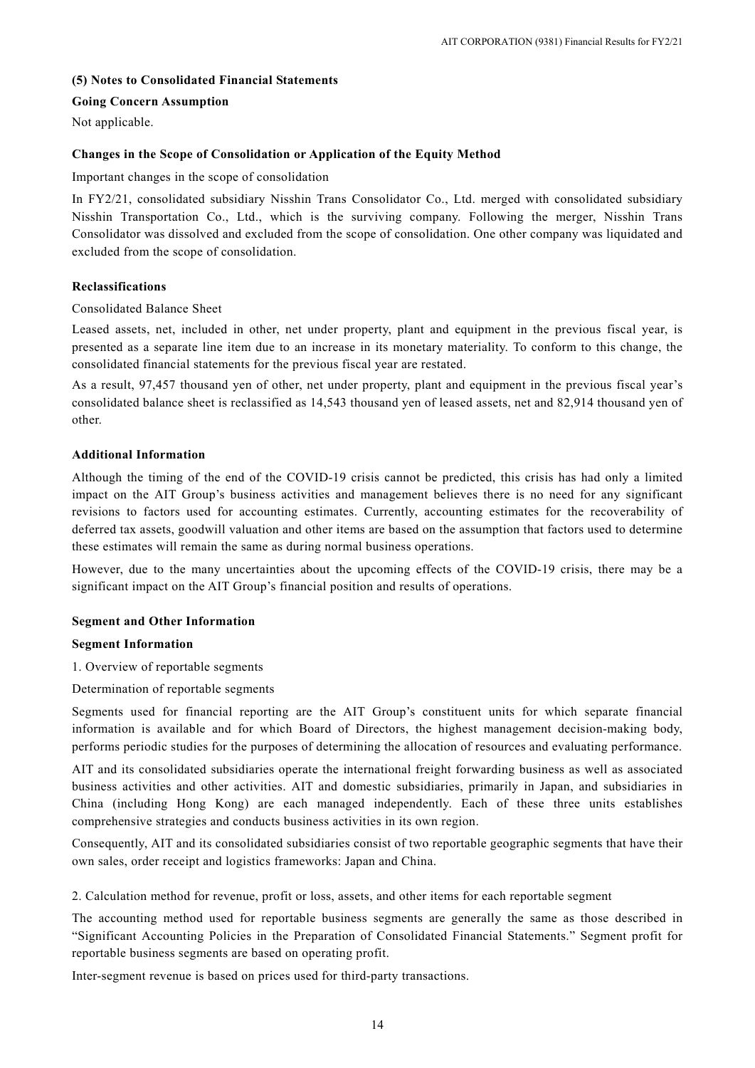# **(5) Notes to Consolidated Financial Statements**

### **Going Concern Assumption**

Not applicable.

### **Changes in the Scope of Consolidation or Application of the Equity Method**

Important changes in the scope of consolidation

In FY2/21, consolidated subsidiary Nisshin Trans Consolidator Co., Ltd. merged with consolidated subsidiary Nisshin Transportation Co., Ltd., which is the surviving company. Following the merger, Nisshin Trans Consolidator was dissolved and excluded from the scope of consolidation. One other company was liquidated and excluded from the scope of consolidation.

### **Reclassifications**

### Consolidated Balance Sheet

Leased assets, net, included in other, net under property, plant and equipment in the previous fiscal year, is presented as a separate line item due to an increase in its monetary materiality. To conform to this change, the consolidated financial statements for the previous fiscal year are restated.

As a result, 97,457 thousand yen of other, net under property, plant and equipment in the previous fiscal year's consolidated balance sheet is reclassified as 14,543 thousand yen of leased assets, net and 82,914 thousand yen of other.

### **Additional Information**

Although the timing of the end of the COVID-19 crisis cannot be predicted, this crisis has had only a limited impact on the AIT Group's business activities and management believes there is no need for any significant revisions to factors used for accounting estimates. Currently, accounting estimates for the recoverability of deferred tax assets, goodwill valuation and other items are based on the assumption that factors used to determine these estimates will remain the same as during normal business operations.

However, due to the many uncertainties about the upcoming effects of the COVID-19 crisis, there may be a significant impact on the AIT Group's financial position and results of operations.

#### **Segment and Other Information**

### **Segment Information**

- 1. Overview of reportable segments
- Determination of reportable segments

Segments used for financial reporting are the AIT Group's constituent units for which separate financial information is available and for which Board of Directors, the highest management decision-making body, performs periodic studies for the purposes of determining the allocation of resources and evaluating performance.

AIT and its consolidated subsidiaries operate the international freight forwarding business as well as associated business activities and other activities. AIT and domestic subsidiaries, primarily in Japan, and subsidiaries in China (including Hong Kong) are each managed independently. Each of these three units establishes comprehensive strategies and conducts business activities in its own region.

Consequently, AIT and its consolidated subsidiaries consist of two reportable geographic segments that have their own sales, order receipt and logistics frameworks: Japan and China.

2. Calculation method for revenue, profit or loss, assets, and other items for each reportable segment

The accounting method used for reportable business segments are generally the same as those described in "Significant Accounting Policies in the Preparation of Consolidated Financial Statements." Segment profit for reportable business segments are based on operating profit.

Inter-segment revenue is based on prices used for third-party transactions.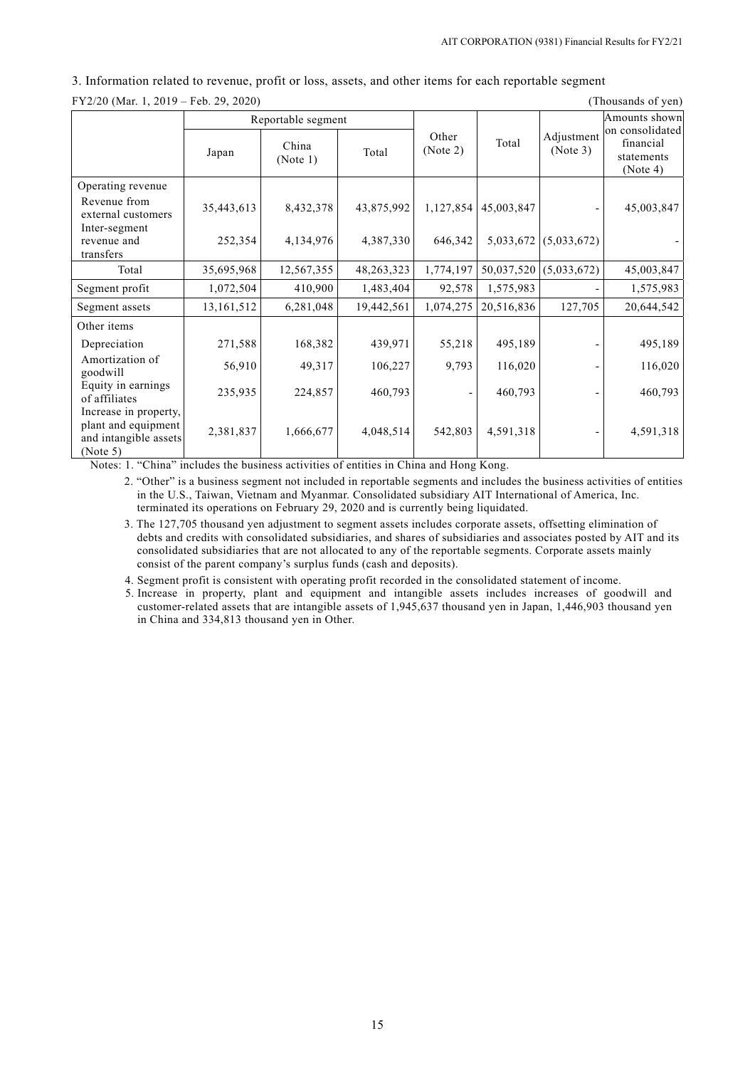| FY2/20 (Mar. 1, 2019 – Feb. 29, 2020)<br>(Thousands of yen)                       |            |                    |              |                   |            |                        |                                                        |
|-----------------------------------------------------------------------------------|------------|--------------------|--------------|-------------------|------------|------------------------|--------------------------------------------------------|
|                                                                                   |            | Reportable segment |              |                   |            |                        | Amounts shown                                          |
|                                                                                   | Japan      | China<br>(Note 1)  | Total        | Other<br>(Note 2) | Total      | Adjustment<br>(Note 3) | on consolidated<br>financial<br>statements<br>(Note 4) |
| Operating revenue                                                                 |            |                    |              |                   |            |                        |                                                        |
| Revenue from<br>external customers                                                | 35,443,613 | 8,432,378          | 43,875,992   | 1,127,854         | 45,003,847 |                        | 45,003,847                                             |
| Inter-segment<br>revenue and<br>transfers                                         | 252,354    | 4,134,976          | 4,387,330    | 646,342           | 5,033,672  | (5,033,672)            |                                                        |
| Total                                                                             | 35,695,968 | 12,567,355         | 48, 263, 323 | 1,774,197         | 50,037,520 | (5,033,672)            | 45,003,847                                             |
| Segment profit                                                                    | 1,072,504  | 410,900            | 1,483,404    | 92,578            | 1,575,983  |                        | 1,575,983                                              |
| Segment assets                                                                    | 13,161,512 | 6,281,048          | 19,442,561   | 1,074,275         | 20,516,836 | 127,705                | 20,644,542                                             |
| Other items                                                                       |            |                    |              |                   |            |                        |                                                        |
| Depreciation                                                                      | 271,588    | 168,382            | 439,971      | 55,218            | 495,189    |                        | 495,189                                                |
| Amortization of<br>goodwill                                                       | 56,910     | 49,317             | 106,227      | 9,793             | 116,020    |                        | 116,020                                                |
| Equity in earnings<br>of affiliates                                               | 235,935    | 224,857            | 460,793      |                   | 460,793    |                        | 460,793                                                |
| Increase in property,<br>plant and equipment<br>and intangible assets<br>(Note 5) | 2,381,837  | 1,666,677          | 4,048,514    | 542,803           | 4,591,318  |                        | 4,591,318                                              |

3. Information related to revenue, profit or loss, assets, and other items for each reportable segment

Notes: 1. "China" includes the business activities of entities in China and Hong Kong.

2. "Other" is a business segment not included in reportable segments and includes the business activities of entities in the U.S., Taiwan, Vietnam and Myanmar. Consolidated subsidiary AIT International of America, Inc. terminated its operations on February 29, 2020 and is currently being liquidated.

3. The 127,705 thousand yen adjustment to segment assets includes corporate assets, offsetting elimination of debts and credits with consolidated subsidiaries, and shares of subsidiaries and associates posted by AIT and its consolidated subsidiaries that are not allocated to any of the reportable segments. Corporate assets mainly consist of the parent company's surplus funds (cash and deposits).

4. Segment profit is consistent with operating profit recorded in the consolidated statement of income.

5. Increase in property, plant and equipment and intangible assets includes increases of goodwill and customer-related assets that are intangible assets of 1,945,637 thousand yen in Japan, 1,446,903 thousand yen in China and 334,813 thousand yen in Other.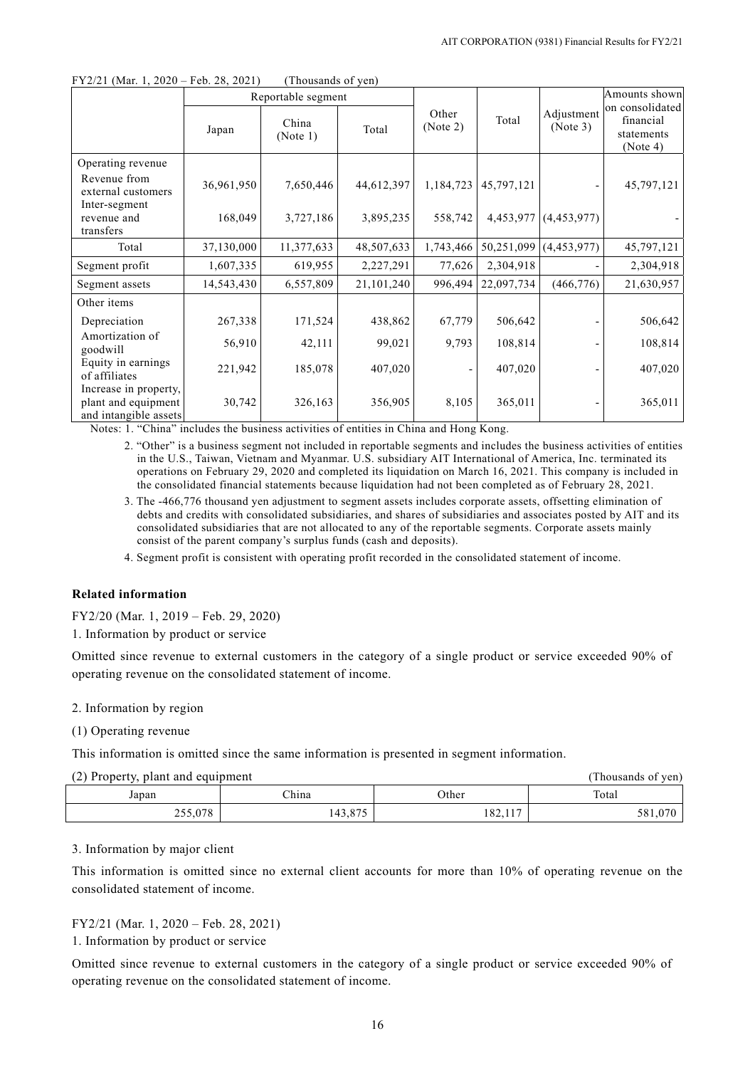|                                                                       |            | Reportable segment |              |                   |            |                        | Amounts shown                                          |
|-----------------------------------------------------------------------|------------|--------------------|--------------|-------------------|------------|------------------------|--------------------------------------------------------|
|                                                                       | Japan      | China<br>(Note 1)  | Total        | Other<br>(Note 2) | Total      | Adjustment<br>(Note 3) | on consolidated<br>financial<br>statements<br>(Note 4) |
| Operating revenue<br>Revenue from<br>external customers               | 36,961,950 | 7,650,446          | 44,612,397   | 1,184,723         | 45,797,121 |                        | 45,797,121                                             |
| Inter-segment<br>revenue and<br>transfers                             | 168,049    | 3,727,186          | 3,895,235    | 558,742           | 4,453,977  | (4,453,977)            |                                                        |
| Total                                                                 | 37,130,000 | 11,377,633         | 48,507,633   | 1,743,466         | 50,251,099 | (4, 453, 977)          | 45,797,121                                             |
| Segment profit                                                        | 1,607,335  | 619,955            | 2,227,291    | 77,626            | 2,304,918  |                        | 2,304,918                                              |
| Segment assets                                                        | 14,543,430 | 6,557,809          | 21, 101, 240 | 996,494           | 22,097,734 | (466, 776)             | 21,630,957                                             |
| Other items                                                           |            |                    |              |                   |            |                        |                                                        |
| Depreciation                                                          | 267,338    | 171,524            | 438,862      | 67,779            | 506,642    |                        | 506,642                                                |
| Amortization of<br>goodwill                                           | 56,910     | 42,111             | 99,021       | 9,793             | 108,814    |                        | 108,814                                                |
| Equity in earnings<br>of affiliates                                   | 221,942    | 185,078            | 407,020      |                   | 407,020    |                        | 407,020                                                |
| Increase in property,<br>plant and equipment<br>and intangible assets | 30,742     | 326,163            | 356,905      | 8,105             | 365,011    |                        | 365,011                                                |

 $FY2/21$  (Mar. 1, 2020 – Feb. 28, 2021) (Thousands of yen)

Notes: 1. "China" includes the business activities of entities in China and Hong Kong.

2. "Other" is a business segment not included in reportable segments and includes the business activities of entities in the U.S., Taiwan, Vietnam and Myanmar. U.S. subsidiary AIT International of America, Inc. terminated its operations on February 29, 2020 and completed its liquidation on March 16, 2021. This company is included in the consolidated financial statements because liquidation had not been completed as of February 28, 2021.

3. The -466,776 thousand yen adjustment to segment assets includes corporate assets, offsetting elimination of debts and credits with consolidated subsidiaries, and shares of subsidiaries and associates posted by AIT and its consolidated subsidiaries that are not allocated to any of the reportable segments. Corporate assets mainly consist of the parent company's surplus funds (cash and deposits).

4. Segment profit is consistent with operating profit recorded in the consolidated statement of income.

### **Related information**

FY2/20 (Mar. 1, 2019 – Feb. 29, 2020)

1. Information by product or service

Omitted since revenue to external customers in the category of a single product or service exceeded 90% of operating revenue on the consolidated statement of income.

### 2. Information by region

# (1) Operating revenue

This information is omitted since the same information is presented in segment information.

| (2) Property, plant and equipment |  |
|-----------------------------------|--|
|-----------------------------------|--|

| (2) Property, plant and equipment<br>(Thousands of yen) |         |         |         |  |  |
|---------------------------------------------------------|---------|---------|---------|--|--|
| Japan                                                   | China   | Other   | Total   |  |  |
| 255,078                                                 | 143,875 | 182,117 | 581,070 |  |  |

### 3. Information by major client

This information is omitted since no external client accounts for more than 10% of operating revenue on the consolidated statement of income.

# FY2/21 (Mar. 1, 2020 – Feb. 28, 2021)

1. Information by product or service

Omitted since revenue to external customers in the category of a single product or service exceeded 90% of operating revenue on the consolidated statement of income.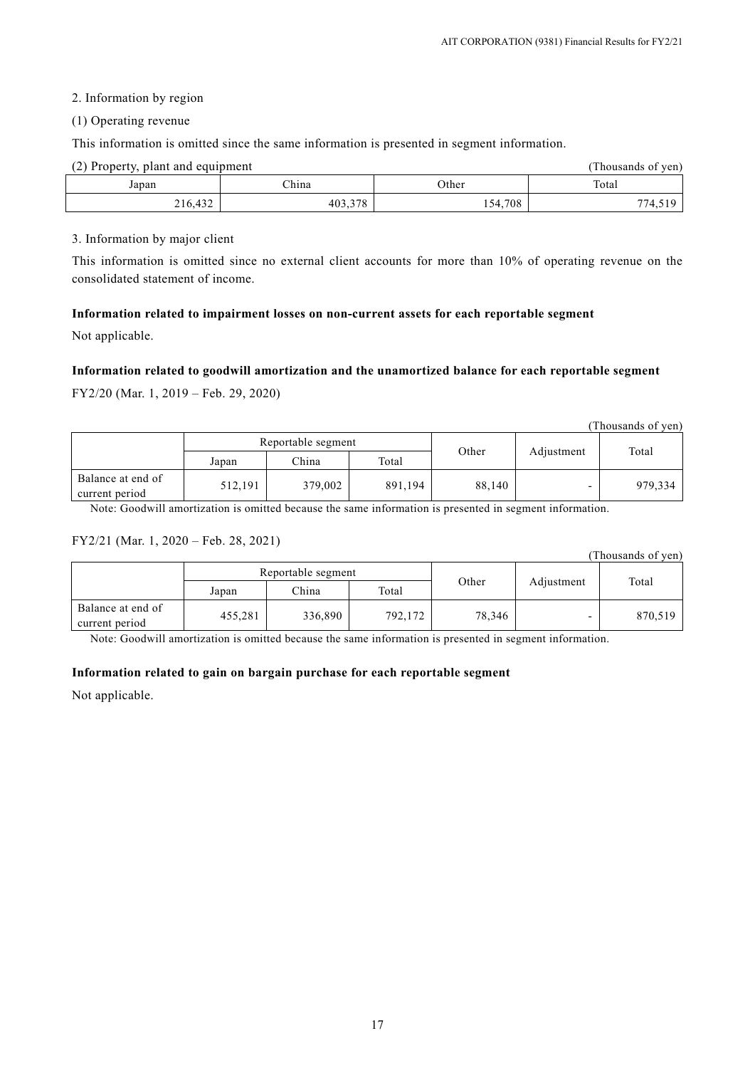# 2. Information by region

### (1) Operating revenue

This information is omitted since the same information is presented in segment information.

| (2) Property, plant and equipment<br>(Thousands of ven) |         |         |         |  |
|---------------------------------------------------------|---------|---------|---------|--|
| Japan                                                   | China   | Other   | Total   |  |
| 216,432                                                 | 403,378 | 154,708 | 774.519 |  |

### 3. Information by major client

This information is omitted since no external client accounts for more than 10% of operating revenue on the consolidated statement of income.

# **Information related to impairment losses on non-current assets for each reportable segment**

Not applicable.

# **Information related to goodwill amortization and the unamortized balance for each reportable segment**

FY2/20 (Mar. 1, 2019 – Feb. 29, 2020)

|                                     |                    |         |         |        |            | (Thousands of yen) |
|-------------------------------------|--------------------|---------|---------|--------|------------|--------------------|
|                                     | Reportable segment |         |         |        |            |                    |
|                                     | Japan              | China   | Total   | Other  | Adjustment | Total              |
| Balance at end of<br>current period | 512,191            | 379,002 | 891,194 | 88,140 |            | 979,334            |

Note: Goodwill amortization is omitted because the same information is presented in segment information.

# FY2/21 (Mar. 1, 2020 – Feb. 28, 2021)

|                                     |                    |         |         |        |            | (Thousands of yen) |
|-------------------------------------|--------------------|---------|---------|--------|------------|--------------------|
|                                     | Reportable segment |         |         |        |            |                    |
|                                     | Japan              | China   | Total   | Other  | Adjustment | Total              |
| Balance at end of<br>current period | 455,281            | 336,890 | 792,172 | 78,346 |            | 870,519            |

Note: Goodwill amortization is omitted because the same information is presented in segment information.

# **Information related to gain on bargain purchase for each reportable segment**

Not applicable.